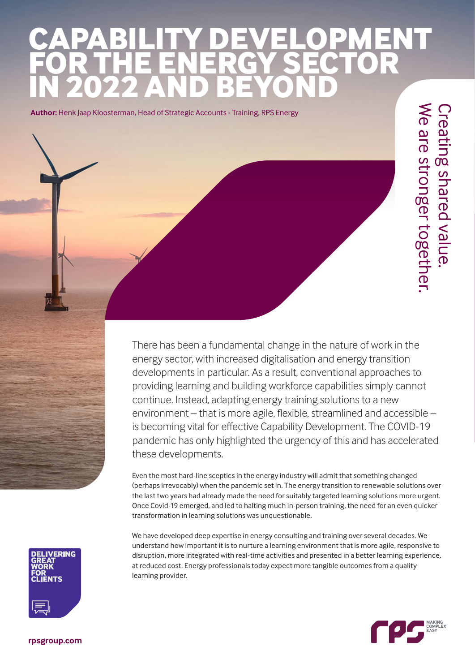# **CAPABILITY DEVELOPMENT FOR THE ENERGY SECTOR IN 2022 AND BEYOND**

**Author:** Henk Jaap Kloosterman, Head of Strategic Accounts - Training, RPS Energy

We are stronger together. Creating shared value. **Creating shared value** We are stronger together

There has been a fundamental change in the nature of work in the energy sector, with increased digitalisation and energy transition developments in particular. As a result, conventional approaches to providing learning and building workforce capabilities simply cannot continue. Instead, adapting energy training solutions to a new environment – that is more agile, flexible, streamlined and accessible – is becoming vital for effective Capability Development. The COVID-19 pandemic has only highlighted the urgency of this and has accelerated these developments.

Even the most hard-line sceptics in the energy industry will admit that something changed (perhaps irrevocably) when the pandemic set in. The energy transition to renewable solutions over the last two years had already made the need for suitably targeted learning solutions more urgent. Once Covid-19 emerged, and led to halting much in-person training, the need for an even quicker transformation in learning solutions was unquestionable.

We have developed deep expertise in energy consulting and training over several decades. We understand how important it is to nurture a learning environment that is more agile, responsive to disruption, more integrated with real-time activities and presented in a better learning experience, at reduced cost. Energy professionals today expect more tangible outcomes from a quality learning provider.



**[rpsgroup.com](https://www.rpsgroup.com)**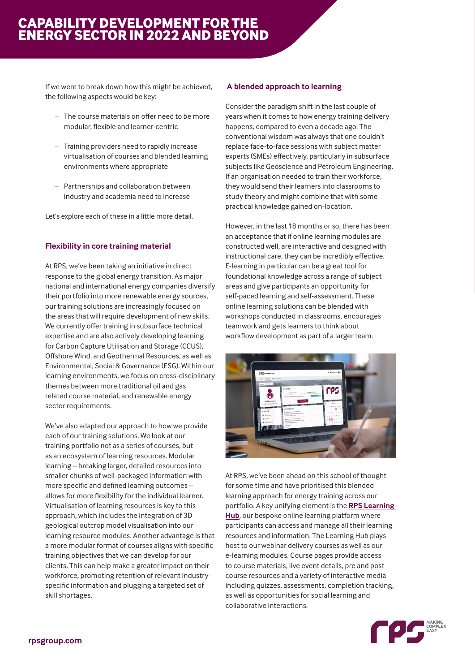## **CAPABILITY DEVELOPMENT FOR THE ENERGY SECTOR IN 2022 AND BEYOND**

If we were to break down how this might be achieved, the following aspects would be key:

- The course materials on offer need to be more modular, flexible and learner-centric
- Training providers need to rapidly increase virtualisation of courses and blended learning environments where appropriate
- Partnerships and collaboration between industry and academia need to increase

Let's explore each of these in a little more detail.

#### **Flexibility in core training material**

At RPS, we've been taking an initiative in direct response to the global energy transition. As major national and international energy companies diversify their portfolio into more renewable energy sources, our training solutions are increasingly focused on the areas that will require development of new skills. We currently offer training in subsurface technical expertise and are also actively developing learning for Carbon Capture Utilisation and Storage (CCUS), Offshore Wind, and Geothermal Resources, as well as Environmental, Social & Governance (ESG). Within our learning environments, we focus on cross-disciplinary themes between more traditional oil and gas related course material, and renewable energy sector requirements.

We've also adapted our approach to how we provide each of our training solutions. We look at our training portfolio not as a series of courses, but as an ecosystem of learning resources. Modular learning – breaking larger, detailed resources into smaller chunks of well-packaged information with more specific and defined learning outcomes – allows for more flexibility for the individual learner. Virtualisation of learning resources is key to this approach, which includes the integration of 3D geological outcrop model visualisation into our learning resource modules. Another advantage is that a more modular format of courses aligns with specific training objectives that we can develop for our clients. This can help make a greater impact on their workforce, promoting retention of relevant industryspecific information and plugging a targeted set of skill shortages.

#### **A blended approach to learning**

Consider the paradigm shift in the last couple of years when it comes to how energy training delivery happens, compared to even a decade ago. The conventional wisdom was always that one couldn't replace face-to-face sessions with subject matter experts (SMEs) effectively, particularly in subsurface subjects like Geoscience and Petroleum Engineering. If an organisation needed to train their workforce, they would send their learners into classrooms to study theory and might combine that with some practical knowledge gained on-location.

However, in the last 18 months or so, there has been an acceptance that if online learning modules are constructed well, are interactive and designed with instructional care, they can be incredibly effective. E-learning in particular can be a great tool for foundational knowledge across a range of subject areas and give participants an opportunity for self-paced learning and self-assessment. These online learning solutions can be blended with workshops conducted in classrooms, encourages teamwork and gets learners to think about workflow development as part of a larger team.



At RPS, we've been ahead on this school of thought for some time and have prioritised this blended learning approach for energy training across our portfolio. A key unifying element is the **[RPS Learning](https://learninghub.rpsgroup.com/)  [Hub](https://learninghub.rpsgroup.com/)**, our bespoke online learning platform where participants can access and manage all their learning resources and information. The Learning Hub plays host to our webinar delivery courses as well as our e-learning modules. Course pages provide access to course materials, live event details, pre and post course resources and a variety of interactive media including quizzes, assessments, completion tracking, as well as opportunities for social learning and collaborative interactions.